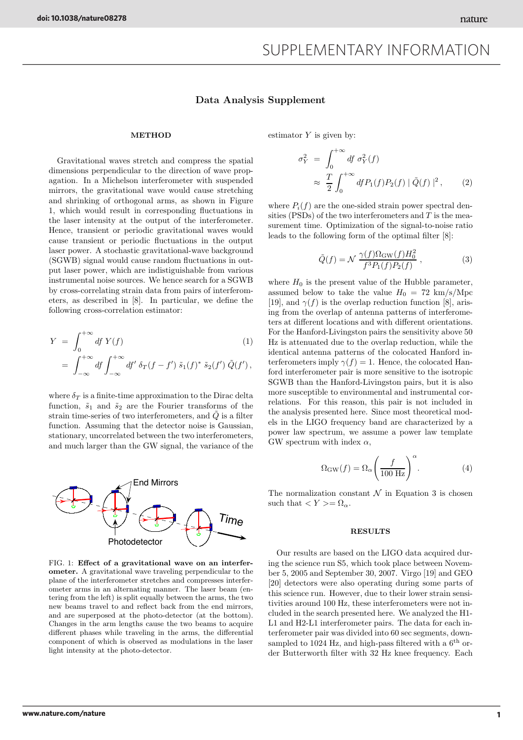## Data Analysis Supplement

## METHOD

Gravitational waves stretch and compress the spatial dimensions perpendicular to the direction of wave propagation. In a Michelson interferometer with suspended mirrors, the gravitational wave would cause stretching and shrinking of orthogonal arms, as shown in Figure 1, which would result in corresponding fluctuations in the laser intensity at the output of the interferometer. Hence, transient or periodic gravitational waves would cause transient or periodic fluctuations in the output laser power. A stochastic gravitational-wave background (SGWB) signal would cause random fluctuations in output laser power, which are indistiguishable from various instrumental noise sources. We hence search for a SGWB by cross-correlating strain data from pairs of interferometers, as described in [8]. In particular, we define the following cross-correlation estimator:

$$
Y = \int_0^{+\infty} df Y(f)
$$
  
= 
$$
\int_{-\infty}^{+\infty} df \int_{-\infty}^{+\infty} df' \, \delta_T(f - f') \, \tilde{s}_1(f)^* \, \tilde{s}_2(f') \, \tilde{Q}(f'),
$$
 (1)

where  $\delta_T$  is a finite-time approximation to the Dirac delta function,  $\tilde{s}_1$  and  $\tilde{s}_2$  are the Fourier transforms of the strain time-series of two interferometers, and  $\tilde{Q}$  is a filter function. Assuming that the detector noise is Gaussian, stationary, uncorrelated between the two interferometers, and much larger than the GW signal, the variance of the



FIG. 1: Effect of a gravitational wave on an interferometer. A gravitational wave traveling perpendicular to the plane of the interferometer stretches and compresses interferometer arms in an alternating manner. The laser beam (entering from the left) is split equally between the arms, the two new beams travel to and reflect back from the end mirrors, and are superposed at the photo-detector (at the bottom). Changes in the arm lengths cause the two beams to acquire different phases while traveling in the arms, the differential component of which is observed as modulations in the laser light intensity at the photo-detector.

estimator  $Y$  is given by:

$$
\sigma_Y^2 = \int_0^{+\infty} df \sigma_Y^2(f)
$$
  

$$
\approx \frac{T}{2} \int_0^{+\infty} df P_1(f) P_2(f) | \tilde{Q}(f) |^2, \qquad (2)
$$

where  $P_i(f)$  are the one-sided strain power spectral densities (PSDs) of the two interferometers and  $T$  is the measurement time. Optimization of the signal-to-noise ratio leads to the following form of the optimal filter [8]:

$$
\tilde{Q}(f) = \mathcal{N} \frac{\gamma(f)\Omega_{\rm GW}(f)H_0^2}{f^3 P_1(f)P_2(f)}, \qquad (3)
$$

where  $H_0$  is the present value of the Hubble parameter, assumed below to take the value  $H_0 = 72 \text{ km/s/Mpc}$ [19], and  $\gamma(f)$  is the overlap reduction function [8], arising from the overlap of antenna patterns of interferometers at different locations and with different orientations. For the Hanford-Livingston pairs the sensitivity above 50 Hz is attenuated due to the overlap reduction, while the identical antenna patterns of the colocated Hanford interferometers imply  $\gamma(f) = 1$ . Hence, the colocated Hanford interferometer pair is more sensitive to the isotropic SGWB than the Hanford-Livingston pairs, but it is also more susceptible to environmental and instrumental correlations. For this reason, this pair is not included in the analysis presented here. Since most theoretical models in the LIGO frequency band are characterized by a power law spectrum, we assume a power law template GW spectrum with index  $\alpha$ ,

$$
\Omega_{\rm GW}(f) = \Omega_{\alpha} \left(\frac{f}{100 \text{ Hz}}\right)^{\alpha}.
$$
 (4)

The normalization constant  $\mathcal N$  in Equation 3 is chosen such that  $\langle Y \rangle = \Omega_{\alpha}$ .

## RESULTS

Our results are based on the LIGO data acquired during the science run S5, which took place between November 5, 2005 and September 30, 2007. Virgo [19] and GEO [20] detectors were also operating during some parts of this science run. However, due to their lower strain sensitivities around 100 Hz, these interferometers were not included in the search presented here. We analyzed the H1- L1 and H2-L1 interferometer pairs. The data for each interferometer pair was divided into 60 sec segments, downsampled to 1024 Hz, and high-pass filtered with a  $6<sup>th</sup>$  order Butterworth filter with 32 Hz knee frequency. Each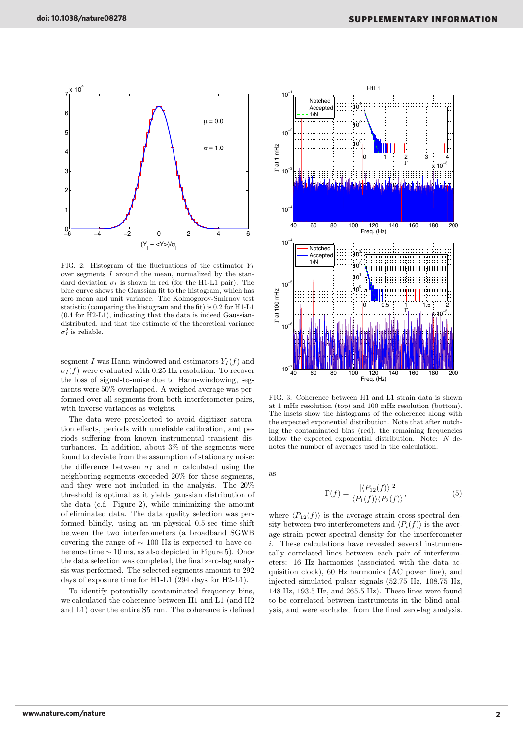

FIG. 2: Histogram of the fluctuations of the estimator  $Y_I$ over segments  $\overline{I}$  around the mean, normalized by the standard deviation  $\sigma_I$  is shown in red (for the H1-L1 pair). The blue curve shows the Gaussian fit to the histogram, which has zero mean and unit variance. The Kolmogorov-Smirnov test statistic (comparing the histogram and the fit) is 0.2 for H1-L1 (0.4 for H2-L1), indicating that the data is indeed Gaussiandistributed, and that the estimate of the theoretical variance  $\sigma_I^2$  is reliable.

segment I was Hann-windowed and estimators  $Y_I(f)$  and  $\sigma_I(f)$  were evaluated with 0.25 Hz resolution. To recover the loss of signal-to-noise due to Hann-windowing, segments were 50% overlapped. A weighed average was performed over all segments from both interferometer pairs, with inverse variances as weights.

The data were preselected to avoid digitizer saturation effects, periods with unreliable calibration, and periods suffering from known instrumental transient disturbances. In addition, about 3% of the segments were found to deviate from the assumption of stationary noise: the difference between  $\sigma_I$  and  $\sigma$  calculated using the neighboring segments exceeded 20% for these segments, and they were not included in the analysis. The 20% threshold is optimal as it yields gaussian distribution of the data (c.f. Figure 2), while minimizing the amount of eliminated data. The data quality selection was performed blindly, using an un-physical 0.5-sec time-shift between the two interferometers (a broadband SGWB covering the range of ∼ 100 Hz is expected to have coherence time ∼ 10 ms, as also depicted in Figure 5). Once the data selection was completed, the final zero-lag analysis was performed. The selected segments amount to 292 days of exposure time for H1-L1 (294 days for H2-L1).

To identify potentially contaminated frequency bins, we calculated the coherence between H1 and L1 (and H2 and L1) over the entire S5 run. The coherence is defined



FIG. 3: Coherence between H1 and L1 strain data is shown at 1 mHz resolution (top) and 100 mHz resolution (bottom). The insets show the histograms of the coherence along with the expected exponential distribution. Note that after notching the contaminated bins (red), the remaining frequencies follow the expected exponential distribution. Note: N denotes the number of averages used in the calculation.

as

$$
\Gamma(f) = \frac{|\langle P_{12}(f) \rangle|^2}{\langle P_1(f) \rangle \langle P_2(f) \rangle},\tag{5}
$$

where  $\langle P_{12}(f) \rangle$  is the average strain cross-spectral density between two interferometers and  $\langle P_i(f) \rangle$  is the average strain power-spectral density for the interferometer i. These calculations have revealed several instrumentally correlated lines between each pair of interferometers: 16 Hz harmonics (associated with the data acquisition clock), 60 Hz harmonics (AC power line), and injected simulated pulsar signals (52.75 Hz, 108.75 Hz, 148 Hz, 193.5 Hz, and 265.5 Hz). These lines were found to be correlated between instruments in the blind analysis, and were excluded from the final zero-lag analysis.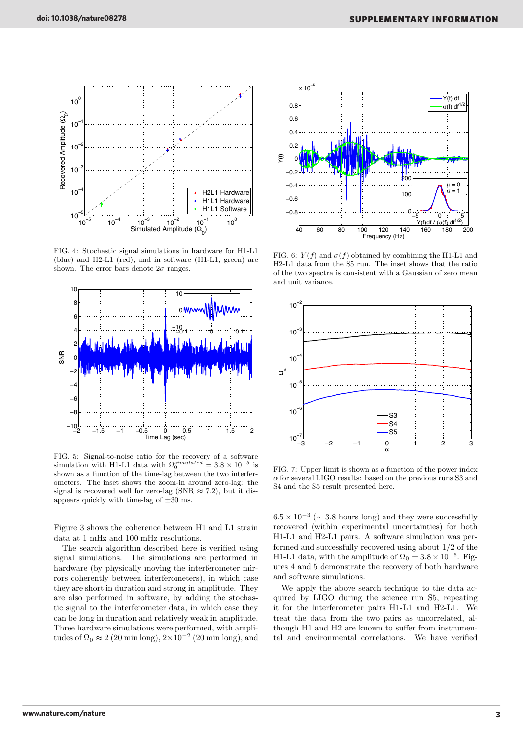

FIG. 4: Stochastic signal simulations in hardware for H1-L1 (blue) and H2-L1 (red), and in software (H1-L1, green) are shown. The error bars denote  $2\sigma$  ranges.



FIG. 5: Signal-to-noise ratio for the recovery of a software simulation with H1-L1 data with  $\Omega_0^{simulated} = 3.8 \times 10^{-5}$  is shown as a function of the time-lag between the two interferometers. The inset shows the zoom-in around zero-lag: the signal is recovered well for zero-lag (SNR  $\approx$  7.2), but it disappears quickly with time-lag of  $\pm 30$  ms.

Figure 3 shows the coherence between H1 and L1 strain data at 1 mHz and 100 mHz resolutions.

The search algorithm described here is verified using signal simulations. The simulations are performed in hardware (by physically moving the interferometer mirrors coherently between interferometers), in which case they are short in duration and strong in amplitude. They are also performed in software, by adding the stochastic signal to the interferometer data, in which case they can be long in duration and relatively weak in amplitude. Three hardware simulations were performed, with amplitudes of  $\Omega_0 \approx 2$  (20 min long), 2×10<sup>-2</sup> (20 min long), and



FIG. 6:  $Y(f)$  and  $\sigma(f)$  obtained by combining the H1-L1 and H2-L1 data from the S5 run. The inset shows that the ratio of the two spectra is consistent with a Gaussian of zero mean and unit variance.



FIG. 7: Upper limit is shown as a function of the power index  $\alpha$  for several LIGO results: based on the previous runs S3 and S4 and the S5 result presented here.

 $6.5 \times 10^{-3}$  ( $\sim 3.8$  hours long) and they were successfully recovered (within experimental uncertainties) for both H1-L1 and H2-L1 pairs. A software simulation was performed and successfully recovered using about 1/2 of the H1-L1 data, with the amplitude of  $\Omega_0 = 3.8 \times 10^{-5}$ . Figures 4 and 5 demonstrate the recovery of both hardware and software simulations.

We apply the above search technique to the data acquired by LIGO during the science run S5, repeating it for the interferometer pairs H1-L1 and H2-L1. We treat the data from the two pairs as uncorrelated, although H1 and H2 are known to suffer from instrumental and environmental correlations. We have verified